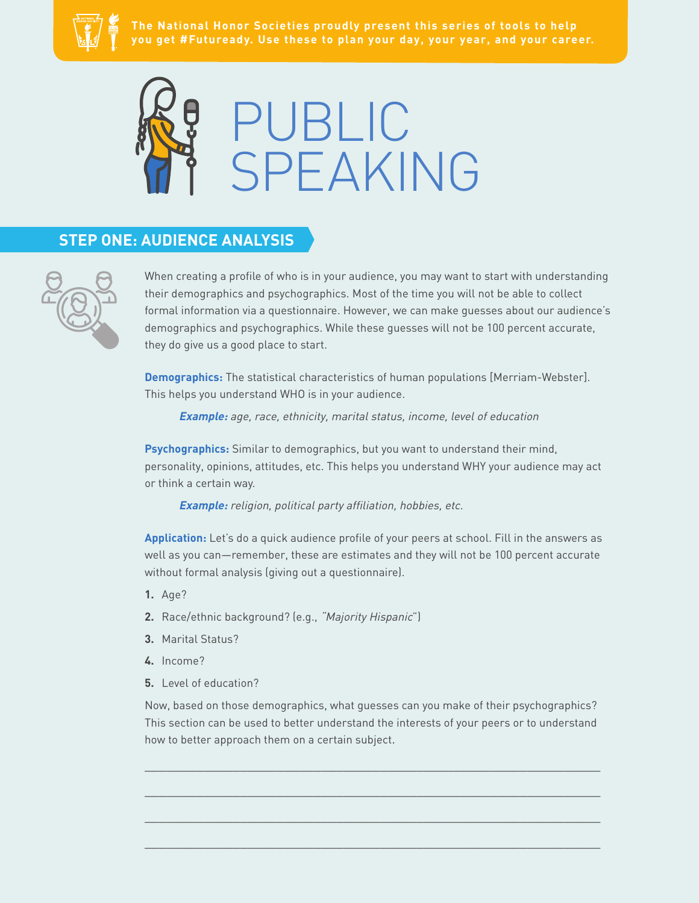



## **STEP ONE: AUDIENCE ANALYSIS**



When creating a profile of who is in your audience, you may want to start with understanding their demographics and psychographics. Most of the time you will not be able to collect formal information via a questionnaire. However, we can make guesses about our audience's demographics and psychographics. While these guesses will not be 100 percent accurate, they do give us a good place to start.

**Demographics:** The statistical characteristics of human populations [Merriam-Webster]. This helps you understand WHO is in your audience.

**Example:** age, race, ethnicity, marital status, income, level of education

**Psychographics:** Similar to demographics, but you want to understand their mind, personality, opinions, attitudes, etc. This helps you understand WHY your audience may act or think a certain way.

**Example:** religion, political party affiliation, hobbies, etc.

**Application:** Let's do a quick audience profile of your peers at school. Fill in the answers as well as you can—remember, these are estimates and they will not be 100 percent accurate without formal analysis (giving out a questionnaire).

- **1.** Age?
- **2.** Race/ethnic background? (e.g., "Majority Hispanic")
- **3.** Marital Status?
- **4.** Income?
- **5.** Level of education?

Now, based on those demographics, what guesses can you make of their psychographics? This section can be used to better understand the interests of your peers or to understand how to better approach them on a certain subject.

 $\_$  , and the set of the set of the set of the set of the set of the set of the set of the set of the set of the set of the set of the set of the set of the set of the set of the set of the set of the set of the set of th

 $\_$  , and the set of the set of the set of the set of the set of the set of the set of the set of the set of the set of the set of the set of the set of the set of the set of the set of the set of the set of the set of th

 $\_$  , and the set of the set of the set of the set of the set of the set of the set of the set of the set of the set of the set of the set of the set of the set of the set of the set of the set of the set of the set of th

 $\_$  , and the set of the set of the set of the set of the set of the set of the set of the set of the set of the set of the set of the set of the set of the set of the set of the set of the set of the set of the set of th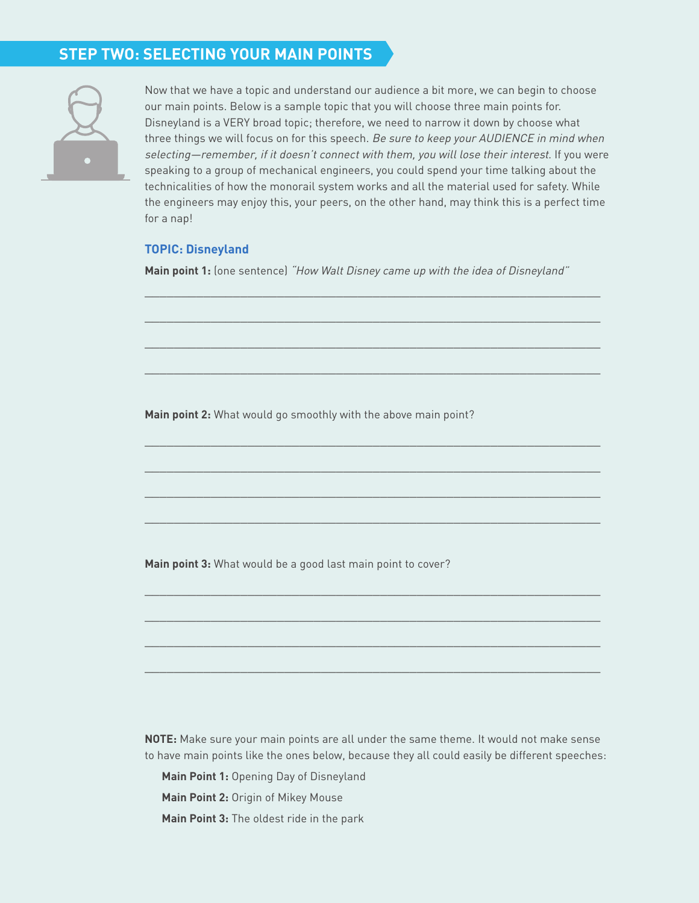# **STEP TWO: SELECTING YOUR MAIN POINTS**



Now that we have a topic and understand our audience a bit more, we can begin to choose our main points. Below is a sample topic that you will choose three main points for. Disneyland is a VERY broad topic; therefore, we need to narrow it down by choose what three things we will focus on for this speech. Be sure to keep your AUDIENCE in mind when selecting—remember, if it doesn't connect with them, you will lose their interest. If you were speaking to a group of mechanical engineers, you could spend your time talking about the technicalities of how the monorail system works and all the material used for safety. While the engineers may enjoy this, your peers, on the other hand, may think this is a perfect time for a nap!

#### **TOPIC: Disneyland**

**Main point 1:** (one sentence) "How Walt Disney came up with the idea of Disneyland"

\_\_\_\_\_\_\_\_\_\_\_\_\_\_\_\_\_\_\_\_\_\_\_\_\_\_\_\_\_\_\_\_\_\_\_\_\_\_\_\_\_\_\_\_\_\_\_\_\_\_\_\_\_\_\_\_\_\_\_\_\_\_

\_\_\_\_\_\_\_\_\_\_\_\_\_\_\_\_\_\_\_\_\_\_\_\_\_\_\_\_\_\_\_\_\_\_\_\_\_\_\_\_\_\_\_\_\_\_\_\_\_\_\_\_\_\_\_\_\_\_\_\_\_\_

\_\_\_\_\_\_\_\_\_\_\_\_\_\_\_\_\_\_\_\_\_\_\_\_\_\_\_\_\_\_\_\_\_\_\_\_\_\_\_\_\_\_\_\_\_\_\_\_\_\_\_\_\_\_\_\_\_\_\_\_\_\_

\_\_\_\_\_\_\_\_\_\_\_\_\_\_\_\_\_\_\_\_\_\_\_\_\_\_\_\_\_\_\_\_\_\_\_\_\_\_\_\_\_\_\_\_\_\_\_\_\_\_\_\_\_\_\_\_\_\_\_\_\_\_

 $\_$  , and the set of the set of the set of the set of the set of the set of the set of the set of the set of the set of the set of the set of the set of the set of the set of the set of the set of the set of the set of th

 $\_$  , and the set of the set of the set of the set of the set of the set of the set of the set of the set of the set of the set of the set of the set of the set of the set of the set of the set of the set of the set of th

 $\_$  , and the set of the set of the set of the set of the set of the set of the set of the set of the set of the set of the set of the set of the set of the set of the set of the set of the set of the set of the set of th

 $\_$  , and the set of the set of the set of the set of the set of the set of the set of the set of the set of the set of the set of the set of the set of the set of the set of the set of the set of the set of the set of th

\_\_\_\_\_\_\_\_\_\_\_\_\_\_\_\_\_\_\_\_\_\_\_\_\_\_\_\_\_\_\_\_\_\_\_\_\_\_\_\_\_\_\_\_\_\_\_\_\_\_\_\_\_\_\_\_\_\_\_\_\_\_

\_\_\_\_\_\_\_\_\_\_\_\_\_\_\_\_\_\_\_\_\_\_\_\_\_\_\_\_\_\_\_\_\_\_\_\_\_\_\_\_\_\_\_\_\_\_\_\_\_\_\_\_\_\_\_\_\_\_\_\_\_\_

\_\_\_\_\_\_\_\_\_\_\_\_\_\_\_\_\_\_\_\_\_\_\_\_\_\_\_\_\_\_\_\_\_\_\_\_\_\_\_\_\_\_\_\_\_\_\_\_\_\_\_\_\_\_\_\_\_\_\_\_\_\_

\_\_\_\_\_\_\_\_\_\_\_\_\_\_\_\_\_\_\_\_\_\_\_\_\_\_\_\_\_\_\_\_\_\_\_\_\_\_\_\_\_\_\_\_\_\_\_\_\_\_\_\_\_\_\_\_\_\_\_\_\_\_

**Main point 2:** What would go smoothly with the above main point?

**Main point 3:** What would be a good last main point to cover?

**NOTE:** Make sure your main points are all under the same theme. It would not make sense to have main points like the ones below, because they all could easily be different speeches:

**Main Point 1:** Opening Day of Disneyland

**Main Point 2:** Origin of Mikey Mouse

**Main Point 3:** The oldest ride in the park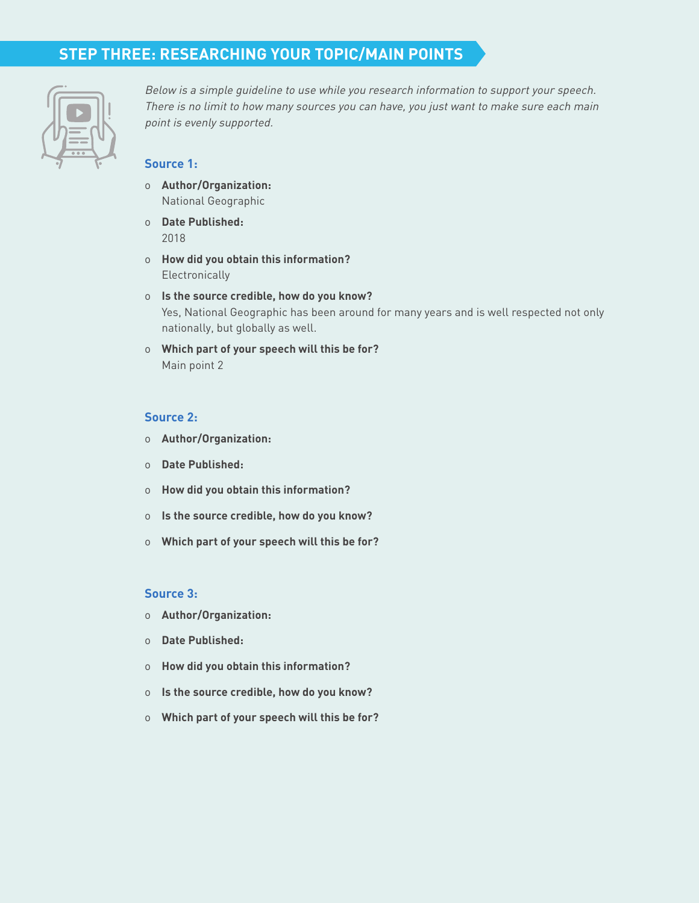# **STEP THREE: RESEARCHING YOUR TOPIC/MAIN POINTS**



Below is a simple guideline to use while you research information to support your speech. There is no limit to how many sources you can have, you just want to make sure each main point is evenly supported.

## **Source 1:**

- o **Author/Organization:**  National Geographic
- o **Date Published:**  2018
- o **How did you obtain this information? Electronically**
- o **Is the source credible, how do you know?** Yes, National Geographic has been around for many years and is well respected not only nationally, but globally as well.
- o **Which part of your speech will this be for?**  Main point 2

#### **Source 2:**

- o **Author/Organization:**
- o **Date Published:**
- o **How did you obtain this information?**
- o **Is the source credible, how do you know?**
- o **Which part of your speech will this be for?**

#### **Source 3:**

- o **Author/Organization:**
- o **Date Published:**
- o **How did you obtain this information?**
- o **Is the source credible, how do you know?**
- o **Which part of your speech will this be for?**